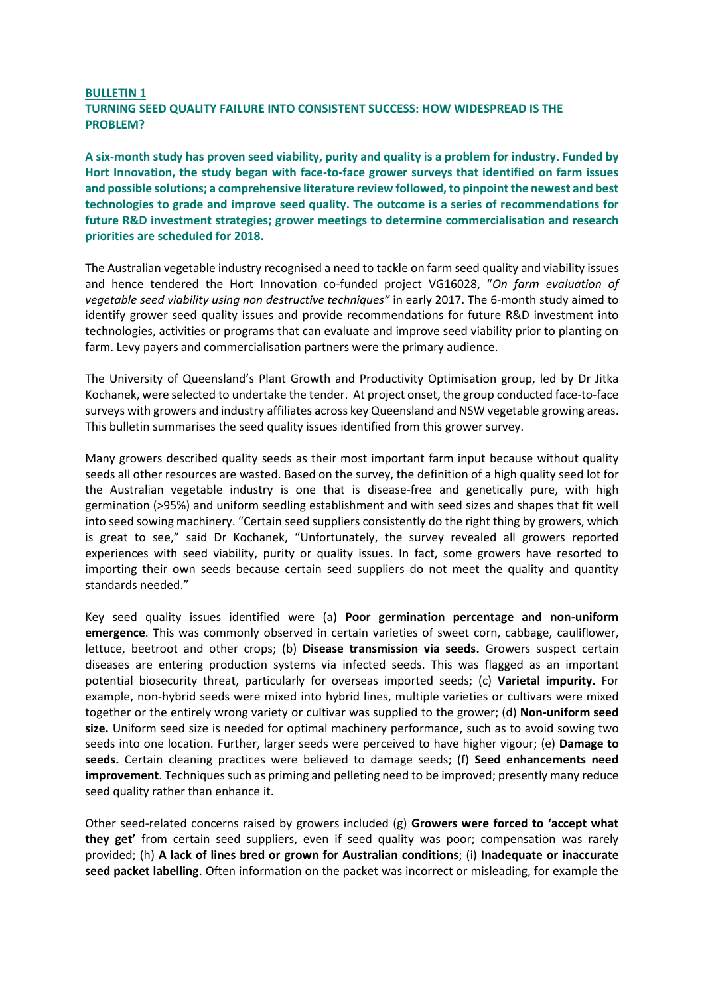## **BULLETIN 1 TURNING SEED QUALITY FAILURE INTO CONSISTENT SUCCESS: HOW WIDESPREAD IS THE PROBLEM?**

**A six-month study has proven seed viability, purity and quality is a problem for industry. Funded by Hort Innovation, the study began with face-to-face grower surveys that identified on farm issues and possible solutions; a comprehensive literature review followed, to pinpoint the newest and best technologies to grade and improve seed quality. The outcome is a series of recommendations for future R&D investment strategies; grower meetings to determine commercialisation and research priorities are scheduled for 2018.**

The Australian vegetable industry recognised a need to tackle on farm seed quality and viability issues and hence tendered the Hort Innovation co-funded project VG16028, "*On farm evaluation of vegetable seed viability using non destructive techniques"* in early 2017. The 6-month study aimed to identify grower seed quality issues and provide recommendations for future R&D investment into technologies, activities or programs that can evaluate and improve seed viability prior to planting on farm. Levy payers and commercialisation partners were the primary audience.

The University of Queensland's Plant Growth and Productivity Optimisation group, led by Dr Jitka Kochanek, were selected to undertake the tender. At project onset, the group conducted face-to-face surveys with growers and industry affiliates across key Queensland and NSW vegetable growing areas. This bulletin summarises the seed quality issues identified from this grower survey.

Many growers described quality seeds as their most important farm input because without quality seeds all other resources are wasted. Based on the survey, the definition of a high quality seed lot for the Australian vegetable industry is one that is disease-free and genetically pure, with high germination (>95%) and uniform seedling establishment and with seed sizes and shapes that fit well into seed sowing machinery. "Certain seed suppliers consistently do the right thing by growers, which is great to see," said Dr Kochanek, "Unfortunately, the survey revealed all growers reported experiences with seed viability, purity or quality issues. In fact, some growers have resorted to importing their own seeds because certain seed suppliers do not meet the quality and quantity standards needed."

Key seed quality issues identified were (a) **Poor germination percentage and non-uniform emergence**. This was commonly observed in certain varieties of sweet corn, cabbage, cauliflower, lettuce, beetroot and other crops; (b) **Disease transmission via seeds.** Growers suspect certain diseases are entering production systems via infected seeds. This was flagged as an important potential biosecurity threat, particularly for overseas imported seeds; (c) **Varietal impurity.** For example, non-hybrid seeds were mixed into hybrid lines, multiple varieties or cultivars were mixed together or the entirely wrong variety or cultivar was supplied to the grower; (d) **Non-uniform seed size.** Uniform seed size is needed for optimal machinery performance, such as to avoid sowing two seeds into one location. Further, larger seeds were perceived to have higher vigour; (e) **Damage to seeds.** Certain cleaning practices were believed to damage seeds; (f) **Seed enhancements need improvement**. Techniques such as priming and pelleting need to be improved; presently many reduce seed quality rather than enhance it.

Other seed-related concerns raised by growers included (g) **Growers were forced to 'accept what they get'** from certain seed suppliers, even if seed quality was poor; compensation was rarely provided; (h) **A lack of lines bred or grown for Australian conditions**; (i) **Inadequate or inaccurate seed packet labelling**. Often information on the packet was incorrect or misleading, for example the